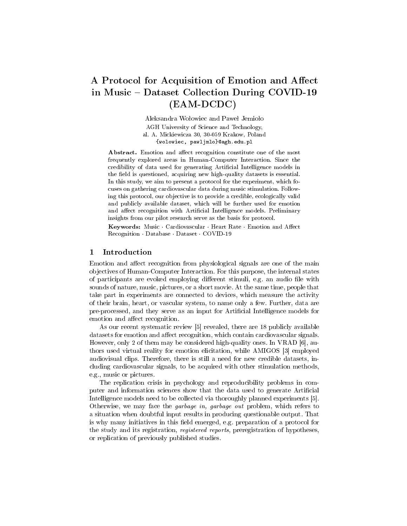# A Protocol for Acquisition of Emotion and Affect in Music – Dataset Collection During COVID-19 (EAM-DCDC)

Aleksandra Wołowiec and Paweł Jemioło AGH University of Science and Technology, al. A. Mickiewicza 30, 30-059 Krakow, Poland {wolowiec, pawljmlo}@agh.edu.pl

Abstract. Emotion and affect recognition constitute one of the most frequently explored areas in Human-Computer Interaction. Since the credibility of data used for generating Artificial Intelligence models in the field is questioned, acquiring new high-quality datasets is essential. In this study, we aim to present a protocol for the experiment, which focuses on gathering cardiovascular data during music stimulation. Following this protocol, our objective is to provide a credible, ecologically valid and publicly available dataset, which will be further used for emotion and affect recognition with Artificial Intelligence models. Preliminary insights from our pilot research serve as the basis for protocol. Insights from our pilot research serve as the basis for protocol.<br>Keywords: Music · Cardiovascular · Heart Rate · Emotion and Affect

Reversion of price research serve as the set<br>Keywords: Music · Cardiovascular · Heart F<br>Recognition · Database · Dataset · COVID-19

## 1 Introduction

Emotion and affect recognition from physiological signals are one of the main objectives of Human-Computer Interaction. For this purpose, the internal states of participants are evoked employing different stimuli, e.g. an audio file with sounds of nature, music, pictures, or a short movie. At the same time, people that take part in experiments are connected to devices, which measure the activity of their brain, heart, or vascular system, to name only a few. Further, data are pre-processed, and they serve as an input for Articial Intelligence models for emotion and affect recognition.

As our recent systematic review [5] revealed, there are 18 publicly available datasets for emotion and affect recognition, which contain cardiovascular signals. However, only 2 of them may be considered high-quality ones. In VRAD [6], authors used virtual reality for emotion elicitation, while AMIGOS [3] employed audiovisual clips. Therefore, there is still a need for new credible datasets, including cardiovascular signals, to be acquired with other stimulation methods, e.g., music or pictures.

The replication crisis in psychology and reproducibility problems in computer and information sciences show that the data used to generate Artificial Intelligence models need to be collected via thoroughly planned experiments [5]. Otherwise, we may face the garbage in, garbage out problem, which refers to a situation when doubtful input results in producing questionable output. That is why many initiatives in this field emerged, e.g. preparation of a protocol for the study and its registration, registered reports, preregistration of hypotheses, or replication of previously published studies.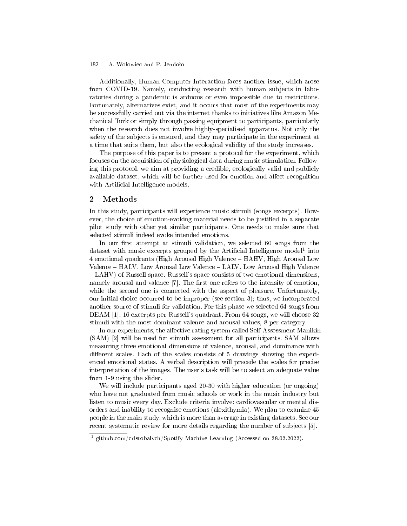#### A. Wołowiec and P. Jemioło 182

Additionally, Human-Computer Interaction faces another issue, which arose from COVID-19. Namely, conducting research with human subjects in laboratories during a pandemic is arduous or even impossible due to restrictions. Fortunately, alternatives exist, and it occurs that most of the experiments may be successfully carried out via the internet thanks to initiatives like Amazon Mechanical Turk or simply through passing equipment to participants, particularly when the research does not involve highly-specialised apparatus. Not only the safety of the subjects is ensured, and they may participate in the experiment at a time that suits them, but also the ecological validity of the study increases.

The purpose of this paper is to present a protocol for the experiment, which focuses on the acquisition of physiological data during music stimulation. Following this protocol, we aim at providing a credible, ecologically valid and publicly available dataset, which will be further used for emotion and affect recognition with Artificial Intelligence models.

#### 2 Methods

In this study, participants will experience music stimuli (songs excerpts). However, the choice of emotion-evoking material needs to be justified in a separate pilot study with other yet similar participants. One needs to make sure that selected stimuli indeed evoke intended emotions.

In our first attempt at stimuli validation, we selected  $60$  songs from the dataset with music excerpts grouped by the Artificial Intelligence model<sup>1</sup> into 4 emotional quadrants (High Arousal High Valence HAHV, High Arousal Low Valence HALV, Low Arousal Low Valence LALV, Low Arousal High Valence LAHV) of Russell space. Russell's space consists of two emotional dimensions, namely arousal and valence [7]. The first one refers to the intensity of emotion, while the second one is connected with the aspect of pleasure. Unfortunately, our initial choice occurred to be improper (see section 3); thus, we incorporated another source of stimuli for validation. For this phase we selected 64 songs from DEAM [1], 16 excerpts per Russell's quadrant. From 64 songs, we will choose 32 stimuli with the most dominant valence and arousal values, 8 per category.

In our experiments, the affective rating system called Self-Assessment Manikin (SAM) [2] will be used for stimuli assessment for all participants. SAM allows measuring three emotional dimensions of valence, arousal, and dominance with different scales. Each of the scales consists of 5 drawings showing the experienced emotional states. A verbal description will precede the scales for precise interpretation of the images. The user's task will be to select an adequate value from 1-9 using the slider.

We will include participants aged 20-30 with higher education (or ongoing) who have not graduated from music schools or work in the music industry but listen to music every day. Exclude criteria involve: cardiovascular or mental disorders and inability to recognise emotions (alexithymia). We plan to examine 45 people in the main study, which is more than average in existing datasets. See our recent systematic review for more details regarding the number of subjects [5].

<sup>&</sup>lt;sup>1</sup> github.com/cristobalvch/Spotify-Machine-Learning (Accessed on 28.02.2022).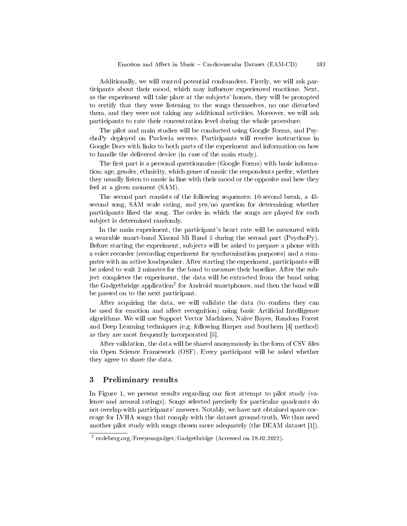Additionally, we will control potential confounders. Firstly, we will ask participants about their mood, which may influence experienced emotions. Next, as the experiment will take place at the subjects' homes, they will be prompted to certify that they were listening to the songs themselves, no one disturbed them, and they were not taking any additional activities. Moreover, we will ask participants to rate their concentration level during the whole procedure.

The pilot and main studies will be conducted using Google Forms, and PsychoPy deployed on Pavlovia servers. Participants will receive instructions in Google Docs with links to both parts of the experiment and information on how to handle the delivered device (in case of the main study).

The first part is a personal questionnaire (Google Forms) with basic information: age, gender, ethnicity, which genre of music the respondents prefer, whether they usually listen to music in line with their mood or the opposite and how they feel at a given moment (SAM).

The second part consists of the following sequences: 10-second break, a 45 second song, SAM scale rating, and yes/no question for determining whether participants liked the song. The order in which the songs are played for each subject is determined randomly.

In the main experiment, the participant's heart rate will be measured with a wearable smart-band Xiaomi Mi Band 5 during the second part (PsychoPy). Before starting the experiment, subjects will be asked to prepare a phone with a voice recorder (recording experiment for synchronisation purposes) and a computer with an active loudspeaker. After starting the experiment, participants will be asked to wait 2 minutes for the band to measure their baseline. After the subject completes the experiment, the data will be extracted from the band using the Gadgetbridge application<sup>2</sup> for Android smartphones, and then the band will be passed on to the next participant.

After acquiring the data, we will validate the data (to confirm they can be used for emotion and affect recognition) using basic Artificial Intelligence algorithms. We will use Support Vector Machines, Naive Bayes, Random Forest and Deep Learning techniques (e.g. following Harper and Southern [4] method) as they are most frequently incorporated [5].

After validation, the data will be shared anonymously in the form of CSV files via Open Science Framework (OSF). Every participant will be asked whether they agree to share the data.

## 3 Preliminary results

In Figure 1, we present results regarding our first attempt to pilot study (valence and arousal ratings). Songs selected precisely for particular quadrants do not overlap with participants' answers. Notably, we have not obtained space coverage for LVHA songs that comply with the dataset ground-truth. We thus need another pilot study with songs chosen more adequately (the DEAM dataset [1]).

<sup>2</sup> codeberg.org/Freeyourgadget/Gadgetbridge (Accessed on 28.02.2022).